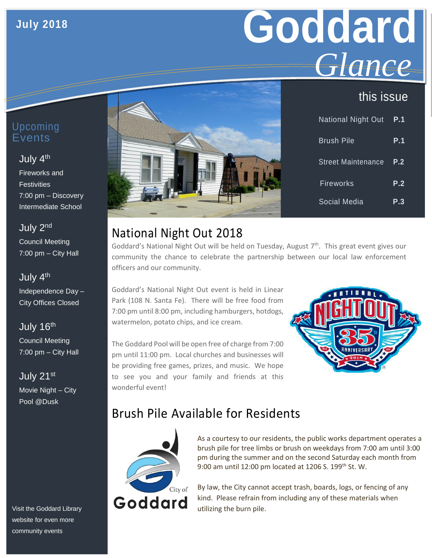### **July 2018**

# **Goddard** *Glance*

## this issue

| Upcoming |
|----------|
| vents    |

#### July 4<sup>th</sup>

Fireworks and **Festivities** 7:00 pm – Discovery Intermediate School

July 2<sup>nd</sup> Council Meeting 7:00 pm – City Hall

July 4<sup>th</sup> Independence Day – City Offices Closed

July 16<sup>th</sup> Council Meeting 7:00 pm – City Hall

July 21st Movie Night – City Pool @Dusk

Visit the Goddard Library website for even more community events



| <b>National Night Out</b> | P.1 |
|---------------------------|-----|
| <b>Brush Pile</b>         | P.1 |
| <b>Street Maintenance</b> | P.2 |
| <b>Fireworks</b>          | P.2 |
| Social Media              | P.3 |

## National Night Out 2018

Goddard's National Night Out will be held on Tuesday, August  $7<sup>th</sup>$ . This great event gives our community the chance to celebrate the partnership between our local law enforcement officers and our community.

Goddard's National Night Out event is held in Linear Park (108 N. Santa Fe). There will be free food from 7:00 pm until 8:00 pm, including hamburgers, hotdogs, watermelon, potato chips, and ice cream.

The Goddard Pool will be open free of charge from 7:00 pm until 11:00 pm. Local churches and businesses will be providing free games, prizes, and music. We hope to see you and your family and friends at this wonderful event!



## Brush Pile Available for Residents



As a courtesy to our residents, the public works department operates a brush pile for tree limbs or brush on weekdays from 7:00 am until 3:00 pm during the summer and on the second Saturday each month from 9:00 am until 12:00 pm located at 1206 S. 199<sup>th</sup> St. W.

By law, the City cannot accept trash, boards, logs, or fencing of any kind. Please refrain from including any of these materials when utilizing the burn pile.